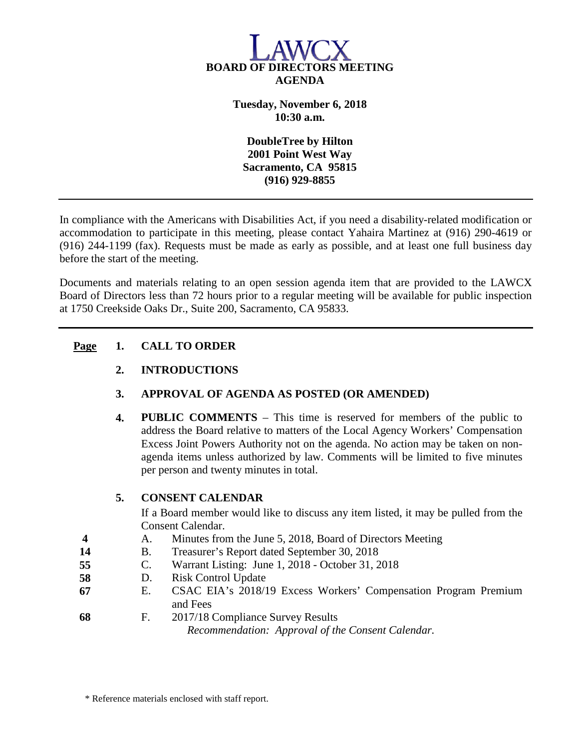

**Tuesday, November 6, 2018 10:30 a.m.**

**DoubleTree by Hilton 2001 Point West Way Sacramento, CA 95815 (916) 929-8855**

In compliance with the Americans with Disabilities Act, if you need a disability-related modification or accommodation to participate in this meeting, please contact Yahaira Martinez at (916) 290-4619 or (916) 244-1199 (fax). Requests must be made as early as possible, and at least one full business day before the start of the meeting.

Documents and materials relating to an open session agenda item that are provided to the LAWCX Board of Directors less than 72 hours prior to a regular meeting will be available for public inspection at 1750 Creekside Oaks Dr., Suite 200, Sacramento, CA 95833.

### **Page 1. CALL TO ORDER**

## **2. INTRODUCTIONS**

## **3. APPROVAL OF AGENDA AS POSTED (OR AMENDED)**

**4. PUBLIC COMMENTS** – This time is reserved for members of the public to address the Board relative to matters of the Local Agency Workers' Compensation Excess Joint Powers Authority not on the agenda. No action may be taken on nonagenda items unless authorized by law. Comments will be limited to five minutes per person and twenty minutes in total.

## **5. CONSENT CALENDAR**

If a Board member would like to discuss any item listed, it may be pulled from the Consent Calendar.

- **4** A. Minutes from the June 5, 2018, Board of Directors Meeting
- **14** B. Treasurer's Report dated September 30, 2018
- **55** C. Warrant Listing: June 1, 2018 October 31, 2018
- **58** D. Risk Control Update
- **67** E. CSAC EIA's 2018/19 Excess Workers' Compensation Program Premium and Fees
- **68** F. 2017/18 Compliance Survey Results

*Recommendation: Approval of the Consent Calendar.*

\* Reference materials enclosed with staff report.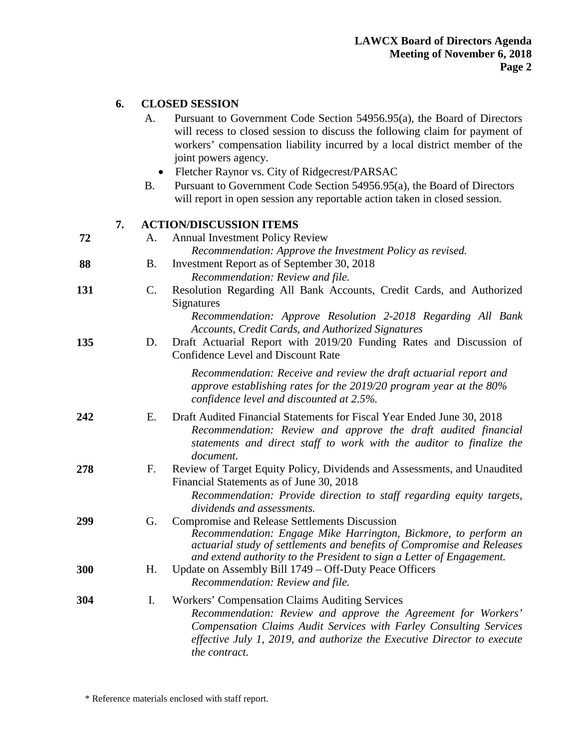# **6. CLOSED SESSION**

|     |    | A.             | Pursuant to Government Code Section 54956.95(a), the Board of Directors<br>will recess to closed session to discuss the following claim for payment of<br>workers' compensation liability incurred by a local district member of the<br>joint powers agency.<br>Fletcher Raynor vs. City of Ridgecrest/PARSAC |
|-----|----|----------------|---------------------------------------------------------------------------------------------------------------------------------------------------------------------------------------------------------------------------------------------------------------------------------------------------------------|
|     |    | <b>B.</b>      | Pursuant to Government Code Section 54956.95(a), the Board of Directors<br>will report in open session any reportable action taken in closed session.                                                                                                                                                         |
|     | 7. |                | <b>ACTION/DISCUSSION ITEMS</b>                                                                                                                                                                                                                                                                                |
| 72  |    | А.             | <b>Annual Investment Policy Review</b><br>Recommendation: Approve the Investment Policy as revised.                                                                                                                                                                                                           |
| 88  |    | <b>B.</b>      | Investment Report as of September 30, 2018<br>Recommendation: Review and file.                                                                                                                                                                                                                                |
| 131 |    | $\mathbf{C}$ . | Resolution Regarding All Bank Accounts, Credit Cards, and Authorized<br>Signatures                                                                                                                                                                                                                            |
| 135 |    | D.             | Recommendation: Approve Resolution 2-2018 Regarding All Bank<br>Accounts, Credit Cards, and Authorized Signatures<br>Draft Actuarial Report with 2019/20 Funding Rates and Discussion of<br><b>Confidence Level and Discount Rate</b>                                                                         |
|     |    |                | Recommendation: Receive and review the draft actuarial report and<br>approve establishing rates for the $2019/20$ program year at the $80\%$<br>confidence level and discounted at 2.5%.                                                                                                                      |
| 242 |    | Ε.             | Draft Audited Financial Statements for Fiscal Year Ended June 30, 2018<br>Recommendation: Review and approve the draft audited financial<br>statements and direct staff to work with the auditor to finalize the<br>document.                                                                                 |
| 278 |    | F.             | Review of Target Equity Policy, Dividends and Assessments, and Unaudited<br>Financial Statements as of June 30, 2018<br>Recommendation: Provide direction to staff regarding equity targets,<br>dividends and assessments.                                                                                    |
| 299 |    | G.             | <b>Compromise and Release Settlements Discussion</b><br>Recommendation: Engage Mike Harrington, Bickmore, to perform an<br>actuarial study of settlements and benefits of Compromise and Releases<br>and extend authority to the President to sign a Letter of Engagement.                                    |
| 300 |    | Н.             | Update on Assembly Bill 1749 – Off-Duty Peace Officers<br>Recommendation: Review and file.                                                                                                                                                                                                                    |
| 304 |    | I.             | <b>Workers' Compensation Claims Auditing Services</b><br>Recommendation: Review and approve the Agreement for Workers'<br>Compensation Claims Audit Services with Farley Consulting Services<br>effective July 1, 2019, and authorize the Executive Director to execute<br>the contract.                      |

\* Reference materials enclosed with staff report.